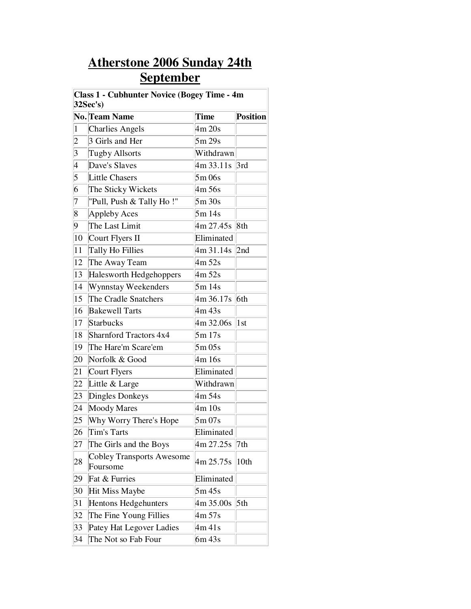## **Atherstone 2006 Sunday 24th September**

| <b>Class 1 - Cubhunter Novice (Bogey Time - 4m</b><br>32Sec's) |                                              |                         |                 |  |  |
|----------------------------------------------------------------|----------------------------------------------|-------------------------|-----------------|--|--|
|                                                                | No. Team Name                                | <b>Time</b>             | <b>Position</b> |  |  |
| $\vert$                                                        | <b>Charlies Angels</b>                       | 4m 20s                  |                 |  |  |
| $ 2\rangle$                                                    | 3 Girls and Her                              | 5m 29s                  |                 |  |  |
| $\vert 3 \vert$                                                | <b>Tugby Allsorts</b>                        | Withdrawn               |                 |  |  |
| 4                                                              | Dave's Slaves                                | 4m 33.11s 3rd           |                 |  |  |
| 5                                                              | <b>Little Chasers</b>                        | 5m 06s                  |                 |  |  |
| 6                                                              | The Sticky Wickets                           | 4m 56s                  |                 |  |  |
| 7                                                              | "Pull, Push & Tally Ho!"                     | 5m30s                   |                 |  |  |
| $\overline{8}$                                                 | Appleby Aces                                 | 5m 14s                  |                 |  |  |
| 9                                                              | The Last Limit                               | 4m 27.45s   8th         |                 |  |  |
| 10                                                             | Court Flyers II                              | Eliminated              |                 |  |  |
| 11                                                             | Tally Ho Fillies                             | $4m31.14s$ 2nd          |                 |  |  |
| 12                                                             | The Away Team                                | 4m 52s                  |                 |  |  |
| 13                                                             | Halesworth Hedgehoppers                      | 4m 52s                  |                 |  |  |
| 14                                                             | <b>Wynnstay Weekenders</b>                   | 5m14s                   |                 |  |  |
| 15                                                             | The Cradle Snatchers                         | $\frac{4m}{36.17s}$ 6th |                 |  |  |
| 16                                                             | <b>Bakewell Tarts</b>                        | 4m 43s                  |                 |  |  |
| 17                                                             | Starbucks                                    | 4m 32.06s 1st           |                 |  |  |
| 18                                                             | Sharnford Tractors 4x4                       | 5m 17s                  |                 |  |  |
| 19                                                             | The Hare'm Scare'em                          | 5m05s                   |                 |  |  |
| 20                                                             | Norfolk & Good                               | 4m 16s                  |                 |  |  |
| 21                                                             | Court Flyers                                 | Eliminated              |                 |  |  |
| 22                                                             | Little & Large                               | Withdrawn               |                 |  |  |
| 23                                                             | Dingles Donkeys                              | 4m 54s                  |                 |  |  |
| 24                                                             | <b>Moody Mares</b>                           | 4m 10s                  |                 |  |  |
| 25                                                             | Why Worry There's Hope                       | 5m07s                   |                 |  |  |
| 26                                                             | Tim's Tarts                                  | Eliminated              |                 |  |  |
| 27                                                             | The Girls and the Boys                       | 4m 27.25s               | 7th             |  |  |
| 28                                                             | <b>Cobley Transports Awesome</b><br>Foursome | 4m 25.75s               | 10th            |  |  |
| 29                                                             | Fat & Furries                                | Eliminated              |                 |  |  |
| 30                                                             | <b>Hit Miss Maybe</b>                        | 5m45s                   |                 |  |  |
| 31                                                             | <b>Hentons Hedgehunters</b>                  | 4m 35.00s               | 5th             |  |  |
| 32                                                             | The Fine Young Fillies                       | 4m 57s                  |                 |  |  |
| 33                                                             | Patey Hat Legover Ladies                     | 4m 41s                  |                 |  |  |
| 34                                                             | The Not so Fab Four                          | 6m 43s                  |                 |  |  |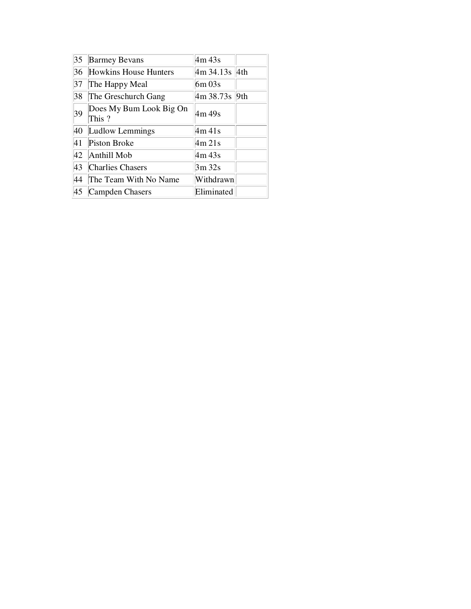| 35 | <b>Barmey Bevans</b>             | 4m 43s        |  |
|----|----------------------------------|---------------|--|
| 36 | <b>Howkins House Hunters</b>     | 4m 34.13s 4th |  |
| 37 | The Happy Meal                   | $6m$ 03s      |  |
| 38 | The Greschurch Gang              | 4m 38.73s 9th |  |
| 39 | Does My Bum Look Big On<br>This? | 4m 49s        |  |
| 40 | Ludlow Lemmings                  | 4m 41 s       |  |
| 41 | <b>Piston Broke</b>              | 4m 21s        |  |
| 42 | Anthill Mob                      | 4m 43s        |  |
| 43 | <b>Charlies Chasers</b>          | 3m 32s        |  |
| 44 | The Team With No Name            | Withdrawn     |  |
| 45 | Campden Chasers                  | Eliminated    |  |